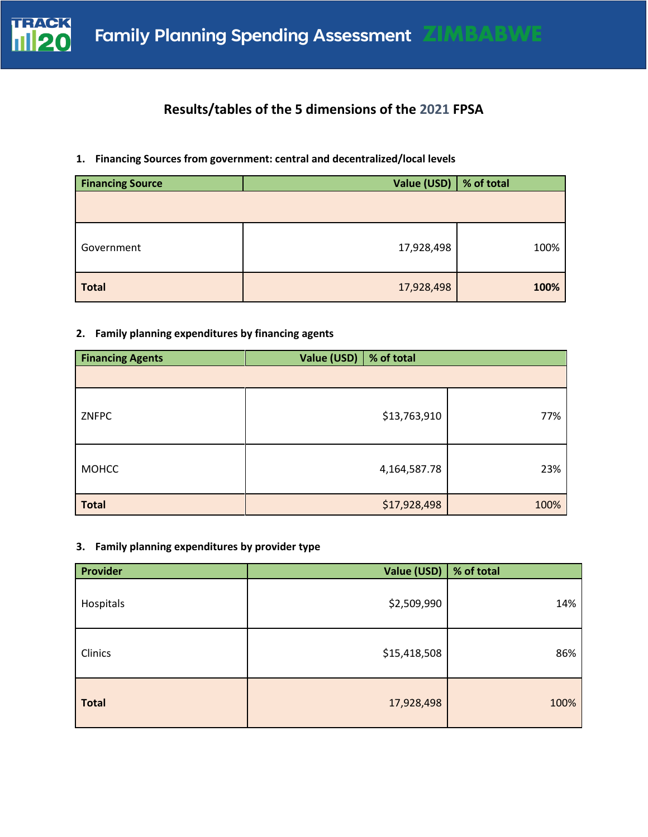

## **Results/tables of the 5 dimensions of the 2021 FPSA**

### **1. Financing Sources from government: central and decentralized/local levels**

| <b>Financing Source</b> | Value (USD) | % of total |
|-------------------------|-------------|------------|
|                         |             |            |
| Government              | 17,928,498  | 100%       |
| <b>Total</b>            | 17,928,498  | 100%       |

### **2. Family planning expenditures by financing agents**

| <b>Financing Agents</b> | Value (USD)<br>% of total |      |
|-------------------------|---------------------------|------|
|                         |                           |      |
| ZNFPC                   | \$13,763,910              | 77%  |
| <b>MOHCC</b>            | 4,164,587.78              | 23%  |
| <b>Total</b>            | \$17,928,498              | 100% |

### **3. Family planning expenditures by provider type**

| Provider     | Value (USD)  | % of total |
|--------------|--------------|------------|
| Hospitals    | \$2,509,990  | 14%        |
| Clinics      | \$15,418,508 | 86%        |
| <b>Total</b> | 17,928,498   | 100%       |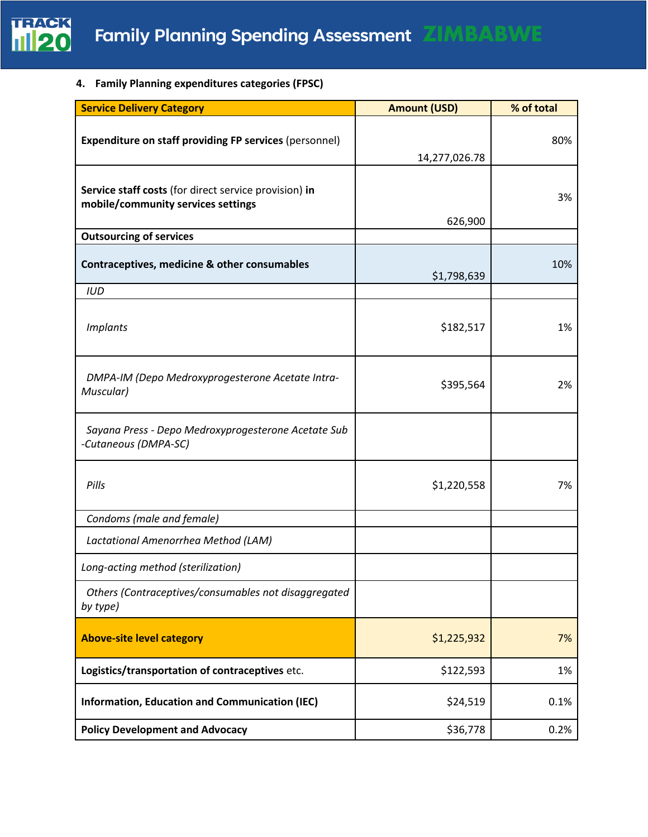

**4. Family Planning expenditures categories (FPSC)** 

| <b>Service Delivery Category</b>                                                            | <b>Amount (USD)</b> | % of total |
|---------------------------------------------------------------------------------------------|---------------------|------------|
| <b>Expenditure on staff providing FP services (personnel)</b>                               | 14,277,026.78       | 80%        |
| Service staff costs (for direct service provision) in<br>mobile/community services settings | 626,900             | 3%         |
| <b>Outsourcing of services</b>                                                              |                     |            |
| Contraceptives, medicine & other consumables                                                | \$1,798,639         | 10%        |
| <b>IUD</b>                                                                                  |                     |            |
| <b>Implants</b>                                                                             | \$182,517           | 1%         |
| DMPA-IM (Depo Medroxyprogesterone Acetate Intra-<br>Muscular)                               | \$395,564           | 2%         |
| Sayana Press - Depo Medroxyprogesterone Acetate Sub<br>-Cutaneous (DMPA-SC)                 |                     |            |
| Pills                                                                                       | \$1,220,558         | 7%         |
| Condoms (male and female)                                                                   |                     |            |
| Lactational Amenorrhea Method (LAM)                                                         |                     |            |
| Long-acting method (sterilization)                                                          |                     |            |
| Others (Contraceptives/consumables not disaggregated<br>by type)                            |                     |            |
| <b>Above-site level category</b>                                                            | \$1,225,932         | 7%         |
| Logistics/transportation of contraceptives etc.                                             | \$122,593           | 1%         |
| Information, Education and Communication (IEC)                                              | \$24,519            | 0.1%       |
| <b>Policy Development and Advocacy</b>                                                      | \$36,778            | 0.2%       |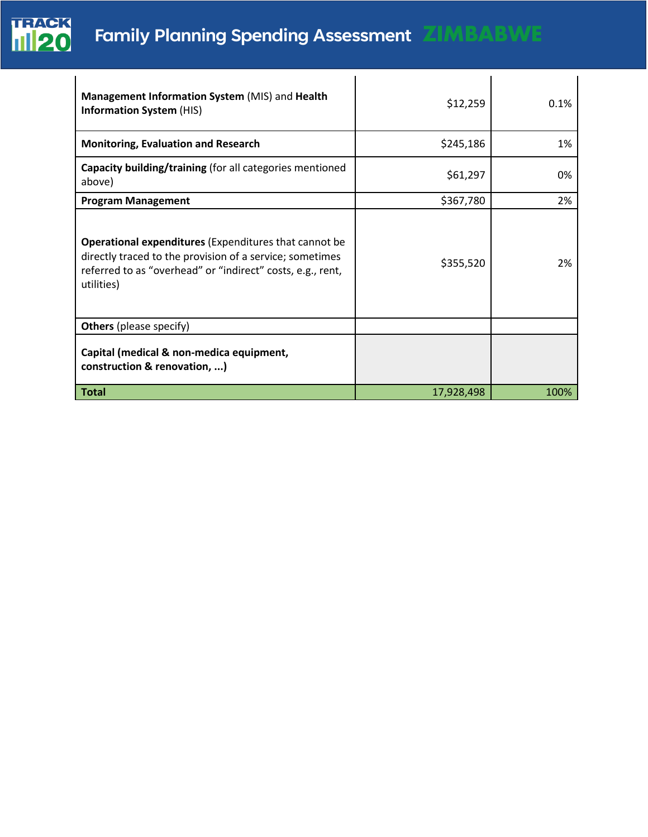

# **Family Planning Spending Assessment ZIMBABWE**

| Management Information System (MIS) and Health<br><b>Information System (HIS)</b>                                                                                                                    | \$12,259   | 0.1% |
|------------------------------------------------------------------------------------------------------------------------------------------------------------------------------------------------------|------------|------|
| <b>Monitoring, Evaluation and Research</b>                                                                                                                                                           | \$245,186  | 1%   |
| Capacity building/training (for all categories mentioned<br>above)                                                                                                                                   | \$61,297   | 0%   |
| <b>Program Management</b>                                                                                                                                                                            | \$367,780  | 2%   |
| <b>Operational expenditures (Expenditures that cannot be</b><br>directly traced to the provision of a service; sometimes<br>referred to as "overhead" or "indirect" costs, e.g., rent,<br>utilities) | \$355,520  | 2%   |
| <b>Others</b> (please specify)                                                                                                                                                                       |            |      |
| Capital (medical & non-medica equipment,<br>construction & renovation, )                                                                                                                             |            |      |
| <b>Total</b>                                                                                                                                                                                         | 17,928,498 | 100% |